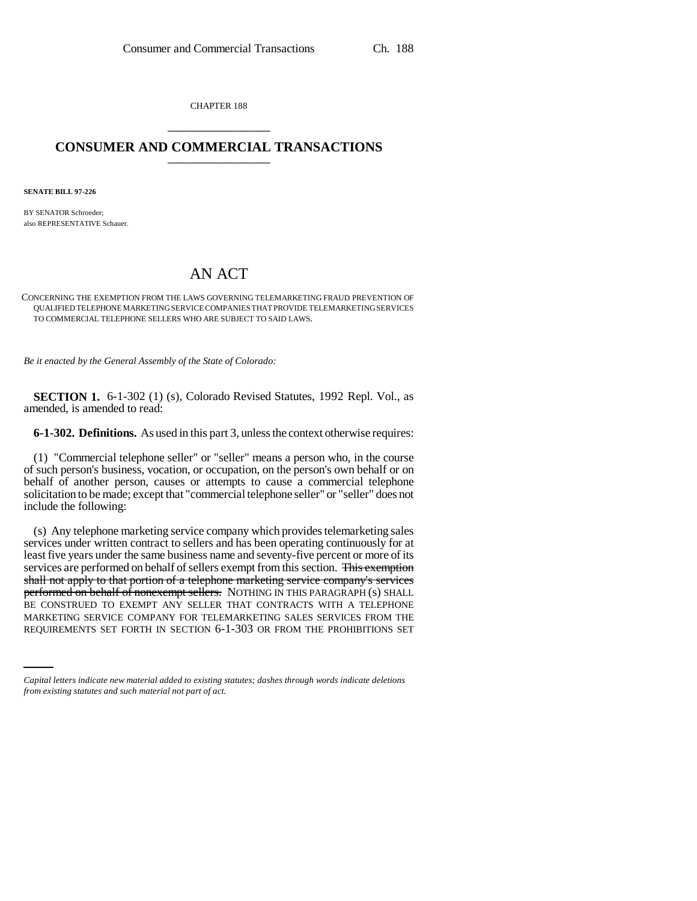CHAPTER 188 \_\_\_\_\_\_\_\_\_\_\_\_\_\_\_

## **CONSUMER AND COMMERCIAL TRANSACTIONS** \_\_\_\_\_\_\_\_\_\_\_\_\_\_\_

**SENATE BILL 97-226**

BY SENATOR Schroeder; also REPRESENTATIVE Schauer.

## AN ACT

## CONCERNING THE EXEMPTION FROM THE LAWS GOVERNING TELEMARKETING FRAUD PREVENTION OF QUALIFIED TELEPHONE MARKETING SERVICE COMPANIES THAT PROVIDE TELEMARKETING SERVICES TO COMMERCIAL TELEPHONE SELLERS WHO ARE SUBJECT TO SAID LAWS.

*Be it enacted by the General Assembly of the State of Colorado:*

**SECTION 1.** 6-1-302 (1) (s), Colorado Revised Statutes, 1992 Repl. Vol., as amended, is amended to read:

**6-1-302. Definitions.** As used in this part 3, unless the context otherwise requires:

(1) "Commercial telephone seller" or "seller" means a person who, in the course of such person's business, vocation, or occupation, on the person's own behalf or on behalf of another person, causes or attempts to cause a commercial telephone solicitation to be made; except that "commercial telephone seller" or "seller" does not include the following:

BE CONSTRUED TO EXEMPT ANY SELLER THAT CONTRACTS WITH A TELEPHONE AND SELLER CONTRACTS AND SELLER AND SELLER OF THE (s) Any telephone marketing service company which provides telemarketing sales services under written contract to sellers and has been operating continuously for at least five years under the same business name and seventy-five percent or more of its services are performed on behalf of sellers exempt from this section. This exemption shall not apply to that portion of a telephone marketing service company's services performed on behalf of nonexempt sellers. NOTHING IN THIS PARAGRAPH (s) SHALL MARKETING SERVICE COMPANY FOR TELEMARKETING SALES SERVICES FROM THE REQUIREMENTS SET FORTH IN SECTION 6-1-303 OR FROM THE PROHIBITIONS SET

*Capital letters indicate new material added to existing statutes; dashes through words indicate deletions from existing statutes and such material not part of act.*